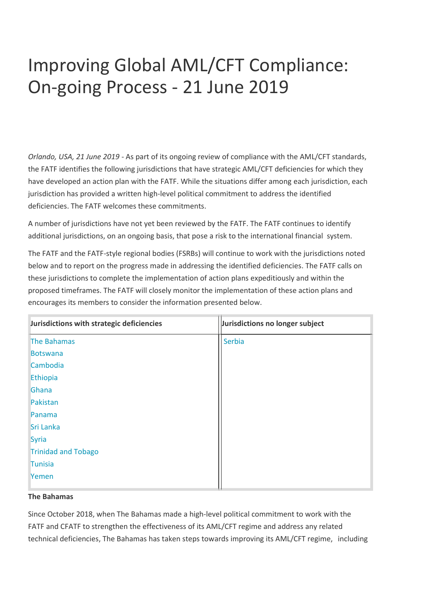# Improving Global AML/CFT Compliance: On-going Process - 21 June 2019

*Orlando, USA, 21 June 2019* - As part of its ongoing review of compliance with the AML/CFT standards, the FATF identifies the following jurisdictions that have strategic AML/CFT deficiencies for which they have developed an action plan with the FATF. While the situations differ among each jurisdiction, each jurisdiction has provided a written high-level political commitment to address the identified deficiencies. The FATF welcomes these commitments.

A number of jurisdictions have not yet been reviewed by the FATF. The FATF continues to identify additional jurisdictions, on an ongoing basis, that pose a risk to the international financial system.

The FATF and the FATF-style regional bodies (FSRBs) will continue to work with the jurisdictions noted below and to report on the progress made in addressing the identified deficiencies. The FATF calls on these jurisdictions to complete the implementation of action plans expeditiously and within the proposed timeframes. The FATF will closely monitor the implementation of these action plans and encourages its members to consider the information presented below.

| Jurisdictions with strategic deficiencies | Jurisdictions no longer subject |
|-------------------------------------------|---------------------------------|
| <b>The Bahamas</b>                        | Serbia                          |
| <b>Botswana</b>                           |                                 |
| Cambodia                                  |                                 |
| Ethiopia                                  |                                 |
| Ghana                                     |                                 |
| Pakistan                                  |                                 |
| Panama                                    |                                 |
| Sri Lanka                                 |                                 |
| Syria                                     |                                 |
| <b>Trinidad and Tobago</b>                |                                 |
| Tunisia                                   |                                 |
| Yemen                                     |                                 |

#### **The Bahamas**

Since October 2018, when The Bahamas made a high-level political commitment to work with the FATF and CFATF to strengthen the effectiveness of its AML/CFT regime and address any related technical deficiencies, The Bahamas has taken steps towards improving its AML/CFT regime, including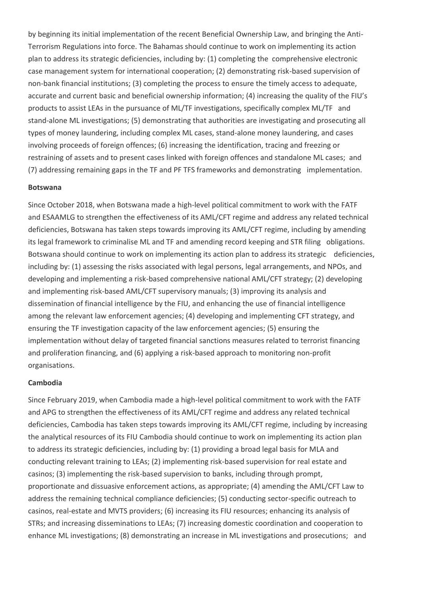by beginning its initial implementation of the recent Beneficial Ownership Law, and bringing the Anti-Terrorism Regulations into force. The Bahamas should continue to work on implementing its action plan to address its strategic deficiencies, including by: (1) completing the comprehensive electronic case management system for international cooperation; (2) demonstrating risk-based supervision of non-bank financial institutions; (3) completing the process to ensure the timely access to adequate, accurate and current basic and beneficial ownership information; (4) increasing the quality of the FIU's products to assist LEAs in the pursuance of ML/TF investigations, specifically complex ML/TF and stand-alone ML investigations; (5) demonstrating that authorities are investigating and prosecuting all types of money laundering, including complex ML cases, stand-alone money laundering, and cases involving proceeds of foreign offences; (6) increasing the identification, tracing and freezing or restraining of assets and to present cases linked with foreign offences and standalone ML cases; and (7) addressing remaining gaps in the TF and PF TFS frameworks and demonstrating implementation.

#### **Botswana**

Since October 2018, when Botswana made a high-level political commitment to work with the FATF and ESAAMLG to strengthen the effectiveness of its AML/CFT regime and address any related technical deficiencies, Botswana has taken steps towards improving its AML/CFT regime, including by amending its legal framework to criminalise ML and TF and amending record keeping and STR filing obligations. Botswana should continue to work on implementing its action plan to address its strategic deficiencies, including by: (1) assessing the risks associated with legal persons, legal arrangements, and NPOs, and developing and implementing a risk-based comprehensive national AML/CFT strategy; (2) developing and implementing risk-based AML/CFT supervisory manuals; (3) improving its analysis and dissemination of financial intelligence by the FIU, and enhancing the use of financial intelligence among the relevant law enforcement agencies; (4) developing and implementing CFT strategy, and ensuring the TF investigation capacity of the law enforcement agencies; (5) ensuring the implementation without delay of targeted financial sanctions measures related to terrorist financing and proliferation financing, and (6) applying a risk-based approach to monitoring non-profit organisations.

#### **Cambodia**

Since February 2019, when Cambodia made a high-level political commitment to work with the FATF and APG to strengthen the effectiveness of its AML/CFT regime and address any related technical deficiencies, Cambodia has taken steps towards improving its AML/CFT regime, including by increasing the analytical resources of its FIU Cambodia should continue to work on implementing its action plan to address its strategic deficiencies, including by: (1) providing a broad legal basis for MLA and conducting relevant training to LEAs; (2) implementing risk-based supervision for real estate and casinos; (3) implementing the risk-based supervision to banks, including through prompt, proportionate and dissuasive enforcement actions, as appropriate; (4) amending the AML/CFT Law to address the remaining technical compliance deficiencies; (5) conducting sector-specific outreach to casinos, real-estate and MVTS providers; (6) increasing its FIU resources; enhancing its analysis of STRs; and increasing disseminations to LEAs; (7) increasing domestic coordination and cooperation to enhance ML investigations; (8) demonstrating an increase in ML investigations and prosecutions; and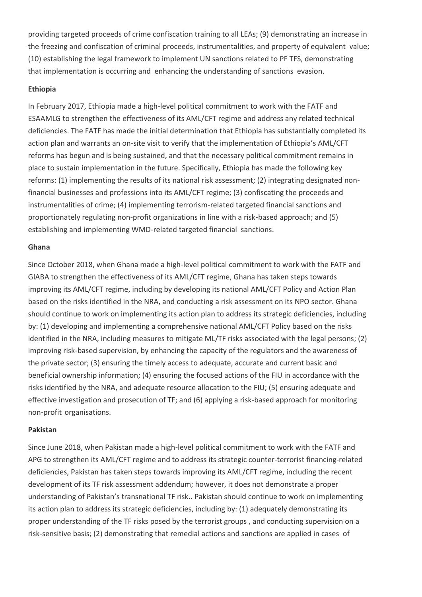providing targeted proceeds of crime confiscation training to all LEAs; (9) demonstrating an increase in the freezing and confiscation of criminal proceeds, instrumentalities, and property of equivalent value; (10) establishing the legal framework to implement UN sanctions related to PF TFS, demonstrating that implementation is occurring and enhancing the understanding of sanctions evasion.

#### **Ethiopia**

In February 2017, Ethiopia made a high-level political commitment to work with the FATF and ESAAMLG to strengthen the effectiveness of its AML/CFT regime and address any related technical deficiencies. The FATF has made the initial determination that Ethiopia has substantially completed its action plan and warrants an on-site visit to verify that the implementation of Ethiopia's AML/CFT reforms has begun and is being sustained, and that the necessary political commitment remains in place to sustain implementation in the future. Specifically, Ethiopia has made the following key reforms: (1) implementing the results of its national risk assessment; (2) integrating designated nonfinancial businesses and professions into its AML/CFT regime; (3) confiscating the proceeds and instrumentalities of crime; (4) implementing terrorism-related targeted financial sanctions and proportionately regulating non-profit organizations in line with a risk-based approach; and (5) establishing and implementing WMD-related targeted financial sanctions.

#### **Ghana**

Since October 2018, when Ghana made a high-level political commitment to work with the FATF and GIABA to strengthen the effectiveness of its AML/CFT regime, Ghana has taken steps towards improving its AML/CFT regime, including by developing its national AML/CFT Policy and Action Plan based on the risks identified in the NRA, and conducting a risk assessment on its NPO sector. Ghana should continue to work on implementing its action plan to address its strategic deficiencies, including by: (1) developing and implementing a comprehensive national AML/CFT Policy based on the risks identified in the NRA, including measures to mitigate ML/TF risks associated with the legal persons; (2) improving risk-based supervision, by enhancing the capacity of the regulators and the awareness of the private sector; (3) ensuring the timely access to adequate, accurate and current basic and beneficial ownership information; (4) ensuring the focused actions of the FIU in accordance with the risks identified by the NRA, and adequate resource allocation to the FIU; (5) ensuring adequate and effective investigation and prosecution of TF; and (6) applying a risk-based approach for monitoring non-profit organisations.

#### **Pakistan**

Since June 2018, when Pakistan made a high-level political commitment to work with the FATF and APG to strengthen its AML/CFT regime and to address its strategic counter-terrorist financing-related deficiencies, Pakistan has taken steps towards improving its AML/CFT regime, including the recent development of its TF risk assessment addendum; however, it does not demonstrate a proper understanding of Pakistan's transnational TF risk.. Pakistan should continue to work on implementing its action plan to address its strategic deficiencies, including by: (1) adequately demonstrating its proper understanding of the TF risks posed by the terrorist groups , and conducting supervision on a risk-sensitive basis; (2) demonstrating that remedial actions and sanctions are applied in cases of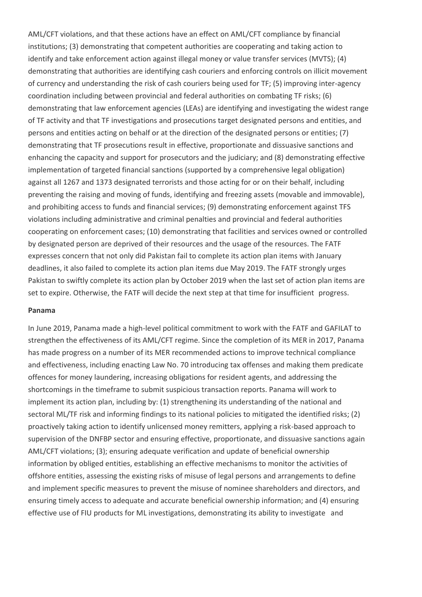AML/CFT violations, and that these actions have an effect on AML/CFT compliance by financial institutions; (3) demonstrating that competent authorities are cooperating and taking action to identify and take enforcement action against illegal money or value transfer services (MVTS); (4) demonstrating that authorities are identifying cash couriers and enforcing controls on illicit movement of currency and understanding the risk of cash couriers being used for TF; (5) improving inter-agency coordination including between provincial and federal authorities on combating TF risks; (6) demonstrating that law enforcement agencies (LEAs) are identifying and investigating the widest range of TF activity and that TF investigations and prosecutions target designated persons and entities, and persons and entities acting on behalf or at the direction of the designated persons or entities; (7) demonstrating that TF prosecutions result in effective, proportionate and dissuasive sanctions and enhancing the capacity and support for prosecutors and the judiciary; and (8) demonstrating effective implementation of targeted financial sanctions (supported by a comprehensive legal obligation) against all 1267 and 1373 designated terrorists and those acting for or on their behalf, including preventing the raising and moving of funds, identifying and freezing assets (movable and immovable), and prohibiting access to funds and financial services; (9) demonstrating enforcement against TFS violations including administrative and criminal penalties and provincial and federal authorities cooperating on enforcement cases; (10) demonstrating that facilities and services owned or controlled by designated person are deprived of their resources and the usage of the resources. The FATF expresses concern that not only did Pakistan fail to complete its action plan items with January deadlines, it also failed to complete its action plan items due May 2019. The FATF strongly urges Pakistan to swiftly complete its action plan by October 2019 when the last set of action plan items are set to expire. Otherwise, the FATF will decide the next step at that time for insufficient progress.

#### **Panama**

In June 2019, Panama made a high-level political commitment to work with the FATF and GAFILAT to strengthen the effectiveness of its AML/CFT regime. Since the completion of its MER in 2017, Panama has made progress on a number of its MER recommended actions to improve technical compliance and effectiveness, including enacting Law No. 70 introducing tax offenses and making them predicate offences for money laundering, increasing obligations for resident agents, and addressing the shortcomings in the timeframe to submit suspicious transaction reports. Panama will work to implement its action plan, including by: (1) strengthening its understanding of the national and sectoral ML/TF risk and informing findings to its national policies to mitigated the identified risks; (2) proactively taking action to identify unlicensed money remitters, applying a risk-based approach to supervision of the DNFBP sector and ensuring effective, proportionate, and dissuasive sanctions again AML/CFT violations; (3); ensuring adequate verification and update of beneficial ownership information by obliged entities, establishing an effective mechanisms to monitor the activities of offshore entities, assessing the existing risks of misuse of legal persons and arrangements to define and implement specific measures to prevent the misuse of nominee shareholders and directors, and ensuring timely access to adequate and accurate beneficial ownership information; and (4) ensuring effective use of FIU products for ML investigations, demonstrating its ability to investigate and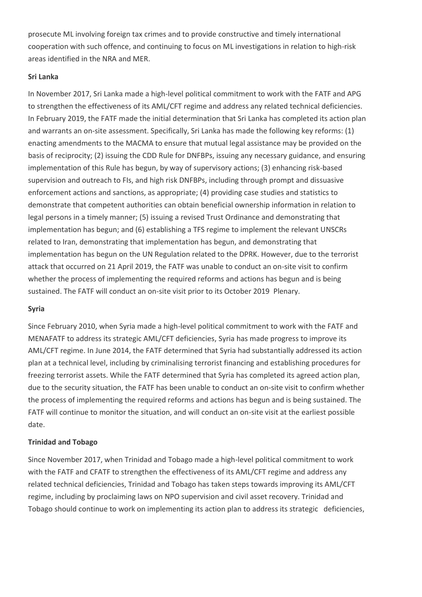prosecute ML involving foreign tax crimes and to provide constructive and timely international cooperation with such offence, and continuing to focus on ML investigations in relation to high-risk areas identified in the NRA and MER.

#### **Sri Lanka**

In November 2017, Sri Lanka made a high-level political commitment to work with the FATF and APG to strengthen the effectiveness of its AML/CFT regime and address any related technical deficiencies. In February 2019, the FATF made the initial determination that Sri Lanka has completed its action plan and warrants an on-site assessment. Specifically, Sri Lanka has made the following key reforms: (1) enacting amendments to the MACMA to ensure that mutual legal assistance may be provided on the basis of reciprocity; (2) issuing the CDD Rule for DNFBPs, issuing any necessary guidance, and ensuring implementation of this Rule has begun, by way of supervisory actions; (3) enhancing risk-based supervision and outreach to FIs, and high risk DNFBPs, including through prompt and dissuasive enforcement actions and sanctions, as appropriate; (4) providing case studies and statistics to demonstrate that competent authorities can obtain beneficial ownership information in relation to legal persons in a timely manner; (5) issuing a revised Trust Ordinance and demonstrating that implementation has begun; and (6) establishing a TFS regime to implement the relevant UNSCRs related to Iran, demonstrating that implementation has begun, and demonstrating that implementation has begun on the UN Regulation related to the DPRK. However, due to the terrorist attack that occurred on 21 April 2019, the FATF was unable to conduct an on-site visit to confirm whether the process of implementing the required reforms and actions has begun and is being sustained. The FATF will conduct an on-site visit prior to its October 2019 Plenary.

## **Syria**

Since February 2010, when Syria made a high-level political commitment to work with the FATF and MENAFATF to address its strategic AML/CFT deficiencies, Syria has made progress to improve its AML/CFT regime. In June 2014, the FATF determined that Syria had substantially addressed its action plan at a technical level, including by criminalising terrorist financing and establishing procedures for freezing terrorist assets. While the FATF determined that Syria has completed its agreed action plan, due to the security situation, the FATF has been unable to conduct an on-site visit to confirm whether the process of implementing the required reforms and actions has begun and is being sustained. The FATF will continue to monitor the situation, and will conduct an on-site visit at the earliest possible date.

## **Trinidad and Tobago**

Since November 2017, when Trinidad and Tobago made a high-level political commitment to work with the FATF and CFATF to strengthen the effectiveness of its AML/CFT regime and address any related technical deficiencies, Trinidad and Tobago has taken steps towards improving its AML/CFT regime, including by proclaiming laws on NPO supervision and civil asset recovery. Trinidad and Tobago should continue to work on implementing its action plan to address its strategic deficiencies,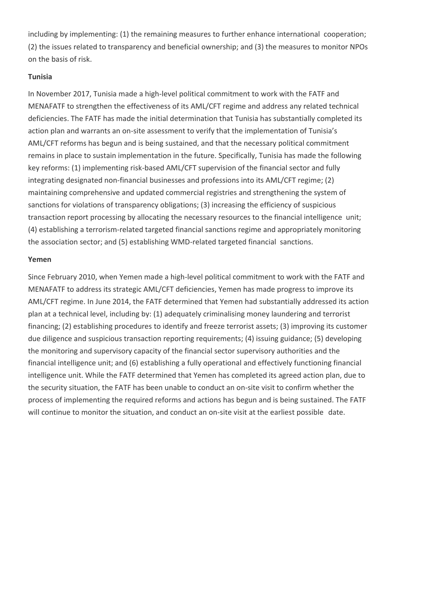including by implementing: (1) the remaining measures to further enhance international cooperation; (2) the issues related to transparency and beneficial ownership; and (3) the measures to monitor NPOs on the basis of risk.

#### **Tunisia**

In November 2017, Tunisia made a high-level political commitment to work with the FATF and MENAFATF to strengthen the effectiveness of its AML/CFT regime and address any related technical deficiencies. The FATF has made the initial determination that Tunisia has substantially completed its action plan and warrants an on-site assessment to verify that the implementation of Tunisia's AML/CFT reforms has begun and is being sustained, and that the necessary political commitment remains in place to sustain implementation in the future. Specifically, Tunisia has made the following key reforms: (1) implementing risk-based AML/CFT supervision of the financial sector and fully integrating designated non-financial businesses and professions into its AML/CFT regime; (2) maintaining comprehensive and updated commercial registries and strengthening the system of sanctions for violations of transparency obligations; (3) increasing the efficiency of suspicious transaction report processing by allocating the necessary resources to the financial intelligence unit; (4) establishing a terrorism-related targeted financial sanctions regime and appropriately monitoring the association sector; and (5) establishing WMD-related targeted financial sanctions.

#### **Yemen**

Since February 2010, when Yemen made a high-level political commitment to work with the FATF and MENAFATF to address its strategic AML/CFT deficiencies, Yemen has made progress to improve its AML/CFT regime. In June 2014, the FATF determined that Yemen had substantially addressed its action plan at a technical level, including by: (1) adequately criminalising money laundering and terrorist financing; (2) establishing procedures to identify and freeze terrorist assets; (3) improving its customer due diligence and suspicious transaction reporting requirements; (4) issuing guidance; (5) developing the monitoring and supervisory capacity of the financial sector supervisory authorities and the financial intelligence unit; and (6) establishing a fully operational and effectively functioning financial intelligence unit. While the FATF determined that Yemen has completed its agreed action plan, due to the security situation, the FATF has been unable to conduct an on-site visit to confirm whether the process of implementing the required reforms and actions has begun and is being sustained. The FATF will continue to monitor the situation, and conduct an on-site visit at the earliest possible date.